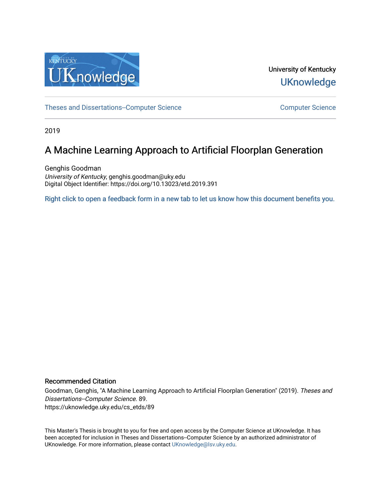

University of Kentucky **UKnowledge** 

[Theses and Dissertations--Computer Science](https://uknowledge.uky.edu/cs_etds) Computer [Computer Science](https://uknowledge.uky.edu/cs) Computer Science

2019

## A Machine Learning Approach to Artificial Floorplan Generation

Genghis Goodman University of Kentucky, genghis.goodman@uky.edu Digital Object Identifier: https://doi.org/10.13023/etd.2019.391

[Right click to open a feedback form in a new tab to let us know how this document benefits you.](https://uky.az1.qualtrics.com/jfe/form/SV_9mq8fx2GnONRfz7)

#### Recommended Citation

Goodman, Genghis, "A Machine Learning Approach to Artificial Floorplan Generation" (2019). Theses and Dissertations--Computer Science. 89. https://uknowledge.uky.edu/cs\_etds/89

This Master's Thesis is brought to you for free and open access by the Computer Science at UKnowledge. It has been accepted for inclusion in Theses and Dissertations--Computer Science by an authorized administrator of UKnowledge. For more information, please contact [UKnowledge@lsv.uky.edu](mailto:UKnowledge@lsv.uky.edu).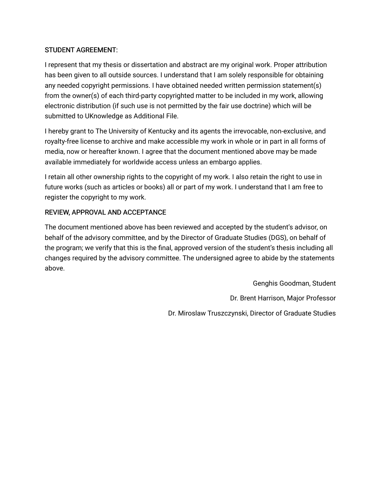### STUDENT AGREEMENT:

I represent that my thesis or dissertation and abstract are my original work. Proper attribution has been given to all outside sources. I understand that I am solely responsible for obtaining any needed copyright permissions. I have obtained needed written permission statement(s) from the owner(s) of each third-party copyrighted matter to be included in my work, allowing electronic distribution (if such use is not permitted by the fair use doctrine) which will be submitted to UKnowledge as Additional File.

I hereby grant to The University of Kentucky and its agents the irrevocable, non-exclusive, and royalty-free license to archive and make accessible my work in whole or in part in all forms of media, now or hereafter known. I agree that the document mentioned above may be made available immediately for worldwide access unless an embargo applies.

I retain all other ownership rights to the copyright of my work. I also retain the right to use in future works (such as articles or books) all or part of my work. I understand that I am free to register the copyright to my work.

### REVIEW, APPROVAL AND ACCEPTANCE

The document mentioned above has been reviewed and accepted by the student's advisor, on behalf of the advisory committee, and by the Director of Graduate Studies (DGS), on behalf of the program; we verify that this is the final, approved version of the student's thesis including all changes required by the advisory committee. The undersigned agree to abide by the statements above.

> Genghis Goodman, Student Dr. Brent Harrison, Major Professor Dr. Miroslaw Truszczynski, Director of Graduate Studies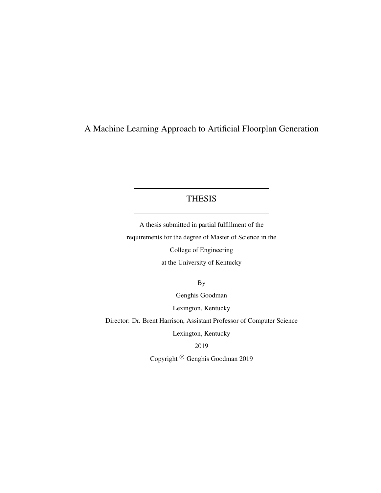## A Machine Learning Approach to Artificial Floorplan Generation

### THESIS

A thesis submitted in partial fulfillment of the requirements for the degree of Master of Science in the College of Engineering at the University of Kentucky

By

Genghis Goodman

Lexington, Kentucky

Director: Dr. Brent Harrison, Assistant Professor of Computer Science

Lexington, Kentucky

2019

Copyright<sup>©</sup> Genghis Goodman 2019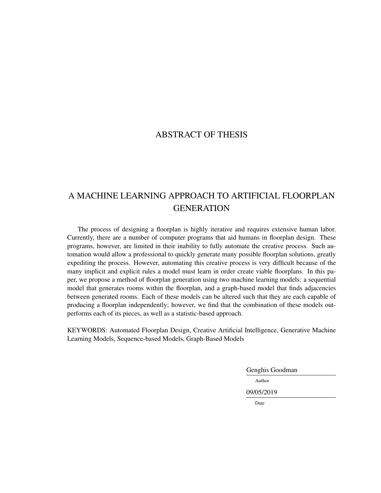## ABSTRACT OF THESIS

## A MACHINE LEARNING APPROACH TO ARTIFICIAL FLOORPLAN **GENERATION**

The process of designing a floorplan is highly iterative and requires extensive human labor. Currently, there are a number of computer programs that aid humans in floorplan design. These programs, however, are limited in their inability to fully automate the creative process. Such automation would allow a professional to quickly generate many possible floorplan solutions, greatly expediting the process. However, automating this creative process is very difficult because of the many implicit and explicit rules a model must learn in order create viable floorplans. In this paper, we propose a method of floorplan generation using two machine learning models: a sequential model that generates rooms within the floorplan, and a graph-based model that finds adjacencies between generated rooms. Each of these models can be altered such that they are each capable of producing a floorplan independently; however, we find that the combination of these models outperforms each of its pieces, as well as a statistic-based approach.

KEYWORDS: Automated Floorplan Design, Creative Artificial Intelligence, Generative Machine Learning Models, Sequence-based Models, Graph-Based Models

Genghis Goodman

Author

09/05/2019

Date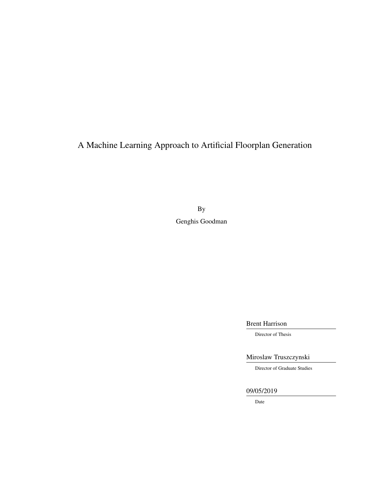A Machine Learning Approach to Artificial Floorplan Generation

By Genghis Goodman

Brent Harrison

Director of Thesis

Miroslaw Truszczynski

Director of Graduate Studies

09/05/2019

Date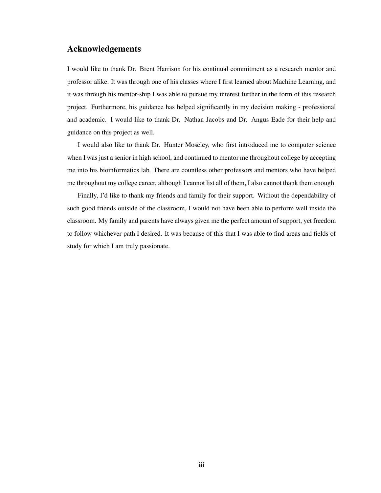### <span id="page-5-0"></span>Acknowledgements

I would like to thank Dr. Brent Harrison for his continual commitment as a research mentor and professor alike. It was through one of his classes where I first learned about Machine Learning, and it was through his mentor-ship I was able to pursue my interest further in the form of this research project. Furthermore, his guidance has helped significantly in my decision making - professional and academic. I would like to thank Dr. Nathan Jacobs and Dr. Angus Eade for their help and guidance on this project as well.

I would also like to thank Dr. Hunter Moseley, who first introduced me to computer science when I was just a senior in high school, and continued to mentor me throughout college by accepting me into his bioinformatics lab. There are countless other professors and mentors who have helped me throughout my college career, although I cannot list all of them, I also cannot thank them enough.

Finally, I'd like to thank my friends and family for their support. Without the dependability of such good friends outside of the classroom, I would not have been able to perform well inside the classroom. My family and parents have always given me the perfect amount of support, yet freedom to follow whichever path I desired. It was because of this that I was able to find areas and fields of study for which I am truly passionate.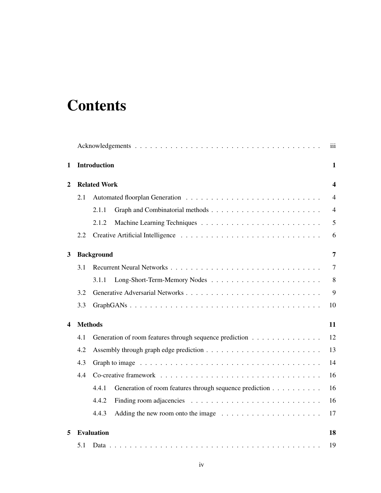# **Contents**

|   |                |                                                                  | iii                     |
|---|----------------|------------------------------------------------------------------|-------------------------|
| 1 |                | Introduction                                                     | $\mathbf{1}$            |
| 2 |                | <b>Related Work</b>                                              | $\overline{\mathbf{4}}$ |
|   | 2.1            |                                                                  | $\overline{4}$          |
|   |                | 2.1.1                                                            | $\overline{4}$          |
|   |                | 2.1.2                                                            | 5                       |
|   | 2.2            |                                                                  | 6                       |
| 3 |                | <b>Background</b>                                                | 7                       |
|   | 3.1            |                                                                  | 7                       |
|   |                | 3.1.1                                                            | 8                       |
|   | 3.2            |                                                                  | 9                       |
|   | 3.3            |                                                                  | 10                      |
| 4 | <b>Methods</b> |                                                                  | 11                      |
|   | 4.1            | Generation of room features through sequence prediction          | 12                      |
|   | 4.2            |                                                                  | 13                      |
|   | 4.3            |                                                                  | 14                      |
|   | 4.4            |                                                                  | 16                      |
|   |                | 4.4.1<br>Generation of room features through sequence prediction | 16                      |
|   |                | 4.4.2                                                            | 16                      |
|   |                | 4.4.3                                                            | 17                      |
| 5 |                | <b>Evaluation</b>                                                | 18                      |
|   | 5.1            |                                                                  | 19                      |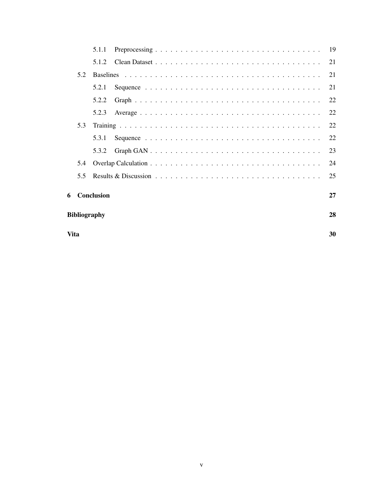|   | Vita                |            |  |  |  |  |  | 30 |  |  |  |  |  |  |    |
|---|---------------------|------------|--|--|--|--|--|----|--|--|--|--|--|--|----|
|   | <b>Bibliography</b> |            |  |  |  |  |  | 28 |  |  |  |  |  |  |    |
| 6 |                     | Conclusion |  |  |  |  |  |    |  |  |  |  |  |  | 27 |
|   | 5.5                 |            |  |  |  |  |  |    |  |  |  |  |  |  | 25 |
|   | 5.4                 |            |  |  |  |  |  |    |  |  |  |  |  |  | 24 |
|   |                     | 5.3.2      |  |  |  |  |  |    |  |  |  |  |  |  | 23 |
|   |                     | 5.3.1      |  |  |  |  |  |    |  |  |  |  |  |  | 22 |
|   | 5.3                 |            |  |  |  |  |  |    |  |  |  |  |  |  | 22 |
|   |                     | 5.2.3      |  |  |  |  |  |    |  |  |  |  |  |  | 22 |
|   |                     | 5.2.2      |  |  |  |  |  |    |  |  |  |  |  |  | 22 |
|   |                     | 5.2.1      |  |  |  |  |  |    |  |  |  |  |  |  | 21 |
|   | 5.2                 |            |  |  |  |  |  |    |  |  |  |  |  |  | 21 |
|   |                     | 5.1.2      |  |  |  |  |  |    |  |  |  |  |  |  | 21 |
|   |                     | 5.1.1      |  |  |  |  |  |    |  |  |  |  |  |  |    |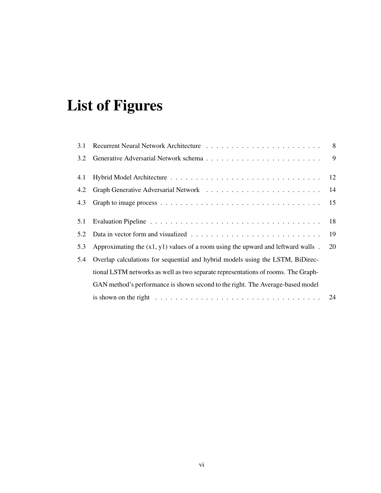# List of Figures

| 3.1 |                                                                                    |    |
|-----|------------------------------------------------------------------------------------|----|
| 3.2 |                                                                                    |    |
| 4.1 |                                                                                    | 12 |
| 4.2 |                                                                                    | 14 |
| 4.3 |                                                                                    | 15 |
| 5.1 |                                                                                    | 18 |
| 5.2 |                                                                                    | 19 |
| 5.3 | Approximating the $(x1, y1)$ values of a room using the upward and leftward walls. | 20 |
| 5.4 | Overlap calculations for sequential and hybrid models using the LSTM, BiDirec-     |    |
|     | tional LSTM networks as well as two separate representations of rooms. The Graph-  |    |
|     | GAN method's performance is shown second to the right. The Average-based model     |    |
|     |                                                                                    |    |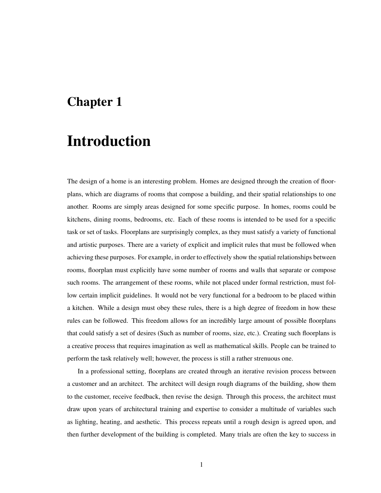## <span id="page-9-0"></span>Chapter 1

# Introduction

The design of a home is an interesting problem. Homes are designed through the creation of floorplans, which are diagrams of rooms that compose a building, and their spatial relationships to one another. Rooms are simply areas designed for some specific purpose. In homes, rooms could be kitchens, dining rooms, bedrooms, etc. Each of these rooms is intended to be used for a specific task or set of tasks. Floorplans are surprisingly complex, as they must satisfy a variety of functional and artistic purposes. There are a variety of explicit and implicit rules that must be followed when achieving these purposes. For example, in order to effectively show the spatial relationships between rooms, floorplan must explicitly have some number of rooms and walls that separate or compose such rooms. The arrangement of these rooms, while not placed under formal restriction, must follow certain implicit guidelines. It would not be very functional for a bedroom to be placed within a kitchen. While a design must obey these rules, there is a high degree of freedom in how these rules can be followed. This freedom allows for an incredibly large amount of possible floorplans that could satisfy a set of desires (Such as number of rooms, size, etc.). Creating such floorplans is a creative process that requires imagination as well as mathematical skills. People can be trained to perform the task relatively well; however, the process is still a rather strenuous one.

In a professional setting, floorplans are created through an iterative revision process between a customer and an architect. The architect will design rough diagrams of the building, show them to the customer, receive feedback, then revise the design. Through this process, the architect must draw upon years of architectural training and expertise to consider a multitude of variables such as lighting, heating, and aesthetic. This process repeats until a rough design is agreed upon, and then further development of the building is completed. Many trials are often the key to success in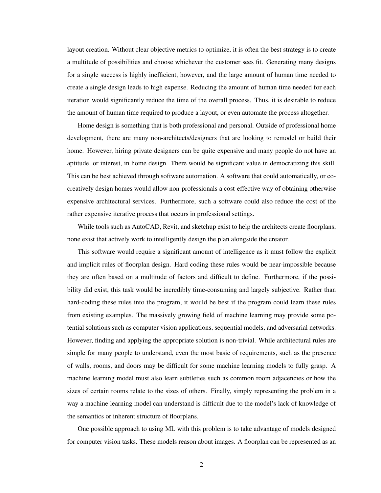layout creation. Without clear objective metrics to optimize, it is often the best strategy is to create a multitude of possibilities and choose whichever the customer sees fit. Generating many designs for a single success is highly inefficient, however, and the large amount of human time needed to create a single design leads to high expense. Reducing the amount of human time needed for each iteration would significantly reduce the time of the overall process. Thus, it is desirable to reduce the amount of human time required to produce a layout, or even automate the process altogether.

Home design is something that is both professional and personal. Outside of professional home development, there are many non-architects/designers that are looking to remodel or build their home. However, hiring private designers can be quite expensive and many people do not have an aptitude, or interest, in home design. There would be significant value in democratizing this skill. This can be best achieved through software automation. A software that could automatically, or cocreatively design homes would allow non-professionals a cost-effective way of obtaining otherwise expensive architectural services. Furthermore, such a software could also reduce the cost of the rather expensive iterative process that occurs in professional settings.

While tools such as AutoCAD, Revit, and sketchup exist to help the architects create floorplans, none exist that actively work to intelligently design the plan alongside the creator.

This software would require a significant amount of intelligence as it must follow the explicit and implicit rules of floorplan design. Hard coding these rules would be near-impossible because they are often based on a multitude of factors and difficult to define. Furthermore, if the possibility did exist, this task would be incredibly time-consuming and largely subjective. Rather than hard-coding these rules into the program, it would be best if the program could learn these rules from existing examples. The massively growing field of machine learning may provide some potential solutions such as computer vision applications, sequential models, and adversarial networks. However, finding and applying the appropriate solution is non-trivial. While architectural rules are simple for many people to understand, even the most basic of requirements, such as the presence of walls, rooms, and doors may be difficult for some machine learning models to fully grasp. A machine learning model must also learn subtleties such as common room adjacencies or how the sizes of certain rooms relate to the sizes of others. Finally, simply representing the problem in a way a machine learning model can understand is difficult due to the model's lack of knowledge of the semantics or inherent structure of floorplans.

One possible approach to using ML with this problem is to take advantage of models designed for computer vision tasks. These models reason about images. A floorplan can be represented as an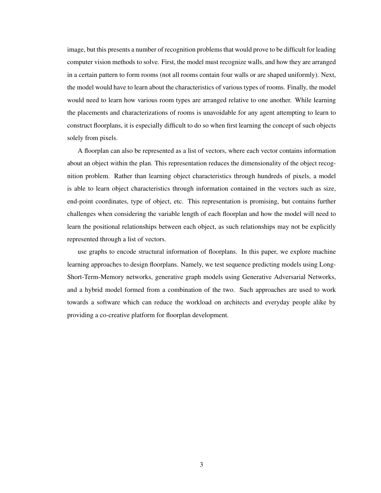image, but this presents a number of recognition problems that would prove to be difficult for leading computer vision methods to solve. First, the model must recognize walls, and how they are arranged in a certain pattern to form rooms (not all rooms contain four walls or are shaped uniformly). Next, the model would have to learn about the characteristics of various types of rooms. Finally, the model would need to learn how various room types are arranged relative to one another. While learning the placements and characterizations of rooms is unavoidable for any agent attempting to learn to construct floorplans, it is especially difficult to do so when first learning the concept of such objects solely from pixels.

A floorplan can also be represented as a list of vectors, where each vector contains information about an object within the plan. This representation reduces the dimensionality of the object recognition problem. Rather than learning object characteristics through hundreds of pixels, a model is able to learn object characteristics through information contained in the vectors such as size, end-point coordinates, type of object, etc. This representation is promising, but contains further challenges when considering the variable length of each floorplan and how the model will need to learn the positional relationships between each object, as such relationships may not be explicitly represented through a list of vectors.

use graphs to encode structural information of floorplans. In this paper, we explore machine learning approaches to design floorplans. Namely, we test sequence predicting models using Long-Short-Term-Memory networks, generative graph models using Generative Adversarial Networks, and a hybrid model formed from a combination of the two. Such approaches are used to work towards a software which can reduce the workload on architects and everyday people alike by providing a co-creative platform for floorplan development.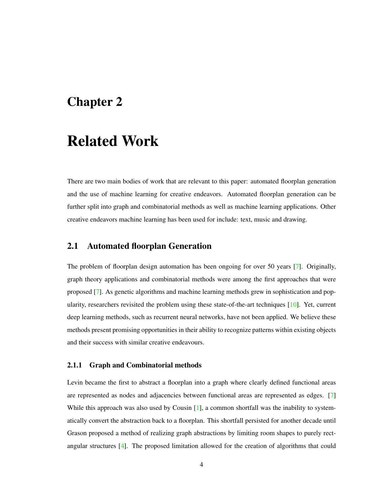## <span id="page-12-0"></span>Chapter 2

# Related Work

There are two main bodies of work that are relevant to this paper: automated floorplan generation and the use of machine learning for creative endeavors. Automated floorplan generation can be further split into graph and combinatorial methods as well as machine learning applications. Other creative endeavors machine learning has been used for include: text, music and drawing.

### <span id="page-12-1"></span>2.1 Automated floorplan Generation

The problem of floorplan design automation has been ongoing for over 50 years [\[7\]](#page-36-1). Originally, graph theory applications and combinatorial methods were among the first approaches that were proposed [\[7\]](#page-36-1). As genetic algorithms and machine learning methods grew in sophistication and popularity, researchers revisited the problem using these state-of-the-art techniques [\[10\]](#page-36-2). Yet, current deep learning methods, such as recurrent neural networks, have not been applied. We believe these methods present promising opportunities in their ability to recognize patterns within existing objects and their success with similar creative endeavours.

#### <span id="page-12-2"></span>2.1.1 Graph and Combinatorial methods

Levin became the first to abstract a floorplan into a graph where clearly defined functional areas are represented as nodes and adjacencies between functional areas are represented as edges. [\[7\]](#page-36-1) While this approach was also used by Cousin [\[1\]](#page-36-3), a common shortfall was the inability to systematically convert the abstraction back to a floorplan. This shortfall persisted for another decade until Grason proposed a method of realizing graph abstractions by limiting room shapes to purely rectangular structures [\[4\]](#page-36-4). The proposed limitation allowed for the creation of algorithms that could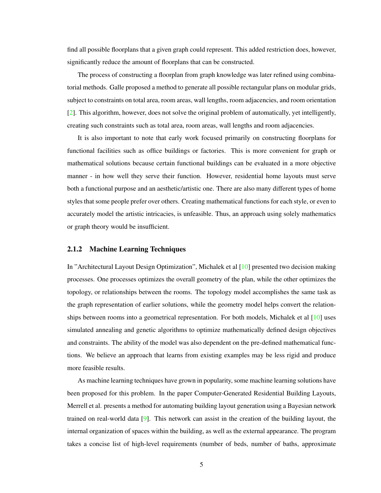find all possible floorplans that a given graph could represent. This added restriction does, however, significantly reduce the amount of floorplans that can be constructed.

The process of constructing a floorplan from graph knowledge was later refined using combinatorial methods. Galle proposed a method to generate all possible rectangular plans on modular grids, subject to constraints on total area, room areas, wall lengths, room adjacencies, and room orientation [\[2\]](#page-36-5). This algorithm, however, does not solve the original problem of automatically, yet intelligently, creating such constraints such as total area, room areas, wall lengths and room adjacencies.

It is also important to note that early work focused primarily on constructing floorplans for functional facilities such as office buildings or factories. This is more convenient for graph or mathematical solutions because certain functional buildings can be evaluated in a more objective manner - in how well they serve their function. However, residential home layouts must serve both a functional purpose and an aesthetic/artistic one. There are also many different types of home styles that some people prefer over others. Creating mathematical functions for each style, or even to accurately model the artistic intricacies, is unfeasible. Thus, an approach using solely mathematics or graph theory would be insufficient.

#### <span id="page-13-0"></span>2.1.2 Machine Learning Techniques

In "Architectural Layout Design Optimization", Michalek et al [\[10\]](#page-36-2) presented two decision making processes. One processes optimizes the overall geometry of the plan, while the other optimizes the topology, or relationships between the rooms. The topology model accomplishes the same task as the graph representation of earlier solutions, while the geometry model helps convert the relationships between rooms into a geometrical representation. For both models, Michalek et al [\[10\]](#page-36-2) uses simulated annealing and genetic algorithms to optimize mathematically defined design objectives and constraints. The ability of the model was also dependent on the pre-defined mathematical functions. We believe an approach that learns from existing examples may be less rigid and produce more feasible results.

As machine learning techniques have grown in popularity, some machine learning solutions have been proposed for this problem. In the paper Computer-Generated Residential Building Layouts, Merrell et al. presents a method for automating building layout generation using a Bayesian network trained on real-world data [\[9\]](#page-36-6). This network can assist in the creation of the building layout, the internal organization of spaces within the building, as well as the external appearance. The program takes a concise list of high-level requirements (number of beds, number of baths, approximate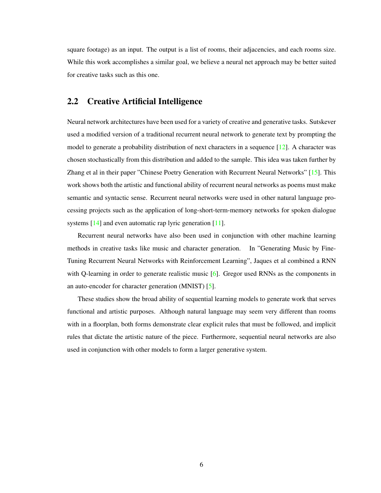square footage) as an input. The output is a list of rooms, their adjacencies, and each rooms size. While this work accomplishes a similar goal, we believe a neural net approach may be better suited for creative tasks such as this one.

### <span id="page-14-0"></span>2.2 Creative Artificial Intelligence

Neural network architectures have been used for a variety of creative and generative tasks. Sutskever used a modified version of a traditional recurrent neural network to generate text by prompting the model to generate a probability distribution of next characters in a sequence  $[12]$ . A character was chosen stochastically from this distribution and added to the sample. This idea was taken further by Zhang et al in their paper "Chinese Poetry Generation with Recurrent Neural Networks" [\[15\]](#page-37-1). This work shows both the artistic and functional ability of recurrent neural networks as poems must make semantic and syntactic sense. Recurrent neural networks were used in other natural language processing projects such as the application of long-short-term-memory networks for spoken dialogue systems [\[14\]](#page-37-2) and even automatic rap lyric generation [\[11\]](#page-37-3).

Recurrent neural networks have also been used in conjunction with other machine learning methods in creative tasks like music and character generation. In "Generating Music by Fine-Tuning Recurrent Neural Networks with Reinforcement Learning", Jaques et al combined a RNN with Q-learning in order to generate realistic music [\[6\]](#page-36-7). Gregor used RNNs as the components in an auto-encoder for character generation (MNIST) [\[5\]](#page-36-8).

These studies show the broad ability of sequential learning models to generate work that serves functional and artistic purposes. Although natural language may seem very different than rooms with in a floorplan, both forms demonstrate clear explicit rules that must be followed, and implicit rules that dictate the artistic nature of the piece. Furthermore, sequential neural networks are also used in conjunction with other models to form a larger generative system.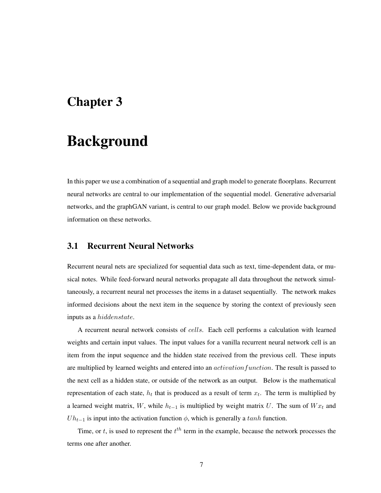## <span id="page-15-0"></span>Chapter 3

# Background

In this paper we use a combination of a sequential and graph model to generate floorplans. Recurrent neural networks are central to our implementation of the sequential model. Generative adversarial networks, and the graphGAN variant, is central to our graph model. Below we provide background information on these networks.

### <span id="page-15-1"></span>3.1 Recurrent Neural Networks

Recurrent neural nets are specialized for sequential data such as text, time-dependent data, or musical notes. While feed-forward neural networks propagate all data throughout the network simultaneously, a recurrent neural net processes the items in a dataset sequentially. The network makes informed decisions about the next item in the sequence by storing the context of previously seen inputs as a hiddenstate.

A recurrent neural network consists of cells. Each cell performs a calculation with learned weights and certain input values. The input values for a vanilla recurrent neural network cell is an item from the input sequence and the hidden state received from the previous cell. These inputs are multiplied by learned weights and entered into an *activation function*. The result is passed to the next cell as a hidden state, or outside of the network as an output. Below is the mathematical representation of each state,  $h_t$  that is produced as a result of term  $x_t$ . The term is multiplied by a learned weight matrix, W, while  $h_{t-1}$  is multiplied by weight matrix U. The sum of  $W_{t}$  and  $Uh_{t-1}$  is input into the activation function  $\phi$ , which is generally a tanh function.

Time, or t, is used to represent the  $t^{th}$  term in the example, because the network processes the terms one after another.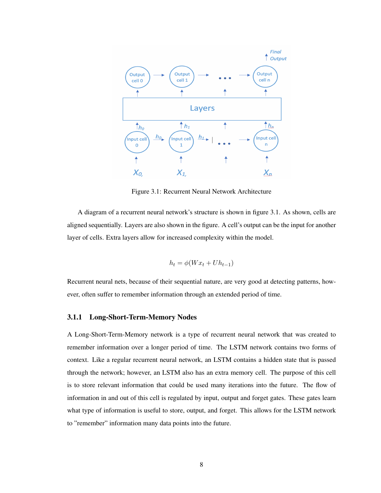

<span id="page-16-1"></span>Figure 3.1: Recurrent Neural Network Architecture

A diagram of a recurrent neural network's structure is shown in figure [3.1.](#page-16-1) As shown, cells are aligned sequentially. Layers are also shown in the figure. A cell's output can be the input for another layer of cells. Extra layers allow for increased complexity within the model.

$$
h_t = \phi(Wx_t + Uh_{t-1})
$$

Recurrent neural nets, because of their sequential nature, are very good at detecting patterns, however, often suffer to remember information through an extended period of time.

#### <span id="page-16-0"></span>3.1.1 Long-Short-Term-Memory Nodes

A Long-Short-Term-Memory network is a type of recurrent neural network that was created to remember information over a longer period of time. The LSTM network contains two forms of context. Like a regular recurrent neural network, an LSTM contains a hidden state that is passed through the network; however, an LSTM also has an extra memory cell. The purpose of this cell is to store relevant information that could be used many iterations into the future. The flow of information in and out of this cell is regulated by input, output and forget gates. These gates learn what type of information is useful to store, output, and forget. This allows for the LSTM network to "remember" information many data points into the future.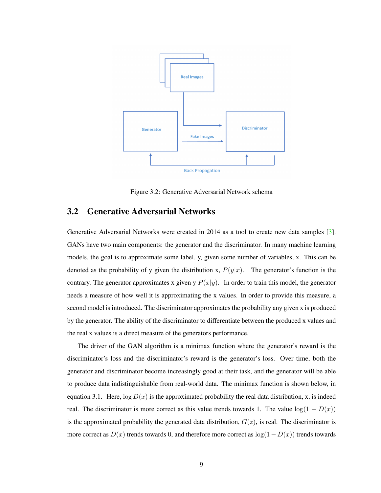

<span id="page-17-1"></span>Figure 3.2: Generative Adversarial Network schema

#### <span id="page-17-0"></span>3.2 Generative Adversarial Networks

Generative Adversarial Networks were created in 2014 as a tool to create new data samples [\[3\]](#page-36-9). GANs have two main components: the generator and the discriminator. In many machine learning models, the goal is to approximate some label, y, given some number of variables, x. This can be denoted as the probability of y given the distribution x,  $P(y|x)$ . The generator's function is the contrary. The generator approximates x given y  $P(x|y)$ . In order to train this model, the generator needs a measure of how well it is approximating the x values. In order to provide this measure, a second model is introduced. The discriminator approximates the probability any given x is produced by the generator. The ability of the discriminator to differentiate between the produced x values and the real x values is a direct measure of the generators performance.

The driver of the GAN algorithm is a minimax function where the generator's reward is the discriminator's loss and the discriminator's reward is the generator's loss. Over time, both the generator and discriminator become increasingly good at their task, and the generator will be able to produce data indistinguishable from real-world data. The minimax function is shown below, in equation [3.1.](#page-18-1) Here,  $\log D(x)$  is the approximated probability the real data distribution, x, is indeed real. The discriminator is more correct as this value trends towards 1. The value  $log(1 - D(x))$ is the approximated probability the generated data distribution,  $G(z)$ , is real. The discriminator is more correct as  $D(x)$  trends towards 0, and therefore more correct as  $log(1 - D(x))$  trends towards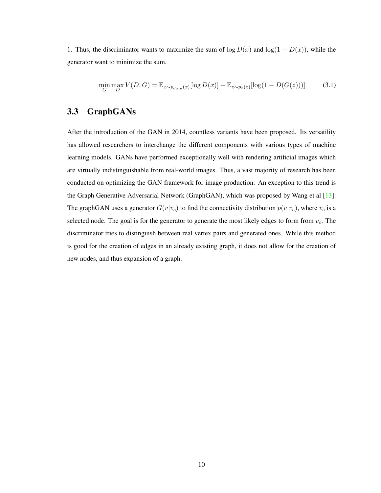1. Thus, the discriminator wants to maximize the sum of  $\log D(x)$  and  $\log(1 - D(x))$ , while the generator want to minimize the sum.

<span id="page-18-1"></span>
$$
\min_{G} \max_{D} V(D, G) = \mathbb{E}_{x \sim p_{data}(x)}[\log D(x)] + \mathbb{E}_{z \sim p_z(z)}[\log(1 - D(G(z)))] \tag{3.1}
$$

### <span id="page-18-0"></span>3.3 GraphGANs

After the introduction of the GAN in 2014, countless variants have been proposed. Its versatility has allowed researchers to interchange the different components with various types of machine learning models. GANs have performed exceptionally well with rendering artificial images which are virtually indistinguishable from real-world images. Thus, a vast majority of research has been conducted on optimizing the GAN framework for image production. An exception to this trend is the Graph Generative Adversarial Network (GraphGAN), which was proposed by Wang et al [\[13\]](#page-37-4). The graphGAN uses a generator  $G(v|v_c)$  to find the connectivity distribution  $p(v|v_c)$ , where  $v_c$  is a selected node. The goal is for the generator to generate the most likely edges to form from  $v_c$ . The discriminator tries to distinguish between real vertex pairs and generated ones. While this method is good for the creation of edges in an already existing graph, it does not allow for the creation of new nodes, and thus expansion of a graph.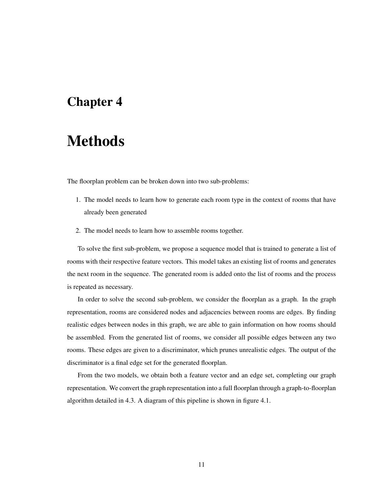# <span id="page-19-0"></span>Chapter 4

# Methods

The floorplan problem can be broken down into two sub-problems:

- 1. The model needs to learn how to generate each room type in the context of rooms that have already been generated
- 2. The model needs to learn how to assemble rooms together.

To solve the first sub-problem, we propose a sequence model that is trained to generate a list of rooms with their respective feature vectors. This model takes an existing list of rooms and generates the next room in the sequence. The generated room is added onto the list of rooms and the process is repeated as necessary.

In order to solve the second sub-problem, we consider the floorplan as a graph. In the graph representation, rooms are considered nodes and adjacencies between rooms are edges. By finding realistic edges between nodes in this graph, we are able to gain information on how rooms should be assembled. From the generated list of rooms, we consider all possible edges between any two rooms. These edges are given to a discriminator, which prunes unrealistic edges. The output of the discriminator is a final edge set for the generated floorplan.

From the two models, we obtain both a feature vector and an edge set, completing our graph representation. We convert the graph representation into a full floorplan through a graph-to-floorplan algorithm detailed in [4.3.](#page-22-0) A diagram of this pipeline is shown in figure [4.1.](#page-20-1)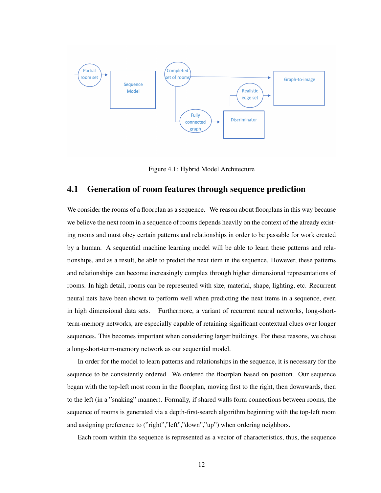

<span id="page-20-1"></span>Figure 4.1: Hybrid Model Architecture

### <span id="page-20-0"></span>4.1 Generation of room features through sequence prediction

We consider the rooms of a floorplan as a sequence. We reason about floorplans in this way because we believe the next room in a sequence of rooms depends heavily on the context of the already existing rooms and must obey certain patterns and relationships in order to be passable for work created by a human. A sequential machine learning model will be able to learn these patterns and relationships, and as a result, be able to predict the next item in the sequence. However, these patterns and relationships can become increasingly complex through higher dimensional representations of rooms. In high detail, rooms can be represented with size, material, shape, lighting, etc. Recurrent neural nets have been shown to perform well when predicting the next items in a sequence, even in high dimensional data sets. Furthermore, a variant of recurrent neural networks, long-shortterm-memory networks, are especially capable of retaining significant contextual clues over longer sequences. This becomes important when considering larger buildings. For these reasons, we chose a long-short-term-memory network as our sequential model.

In order for the model to learn patterns and relationships in the sequence, it is necessary for the sequence to be consistently ordered. We ordered the floorplan based on position. Our sequence began with the top-left most room in the floorplan, moving first to the right, then downwards, then to the left (in a "snaking" manner). Formally, if shared walls form connections between rooms, the sequence of rooms is generated via a depth-first-search algorithm beginning with the top-left room and assigning preference to ("right","left","down","up") when ordering neighbors.

Each room within the sequence is represented as a vector of characteristics, thus, the sequence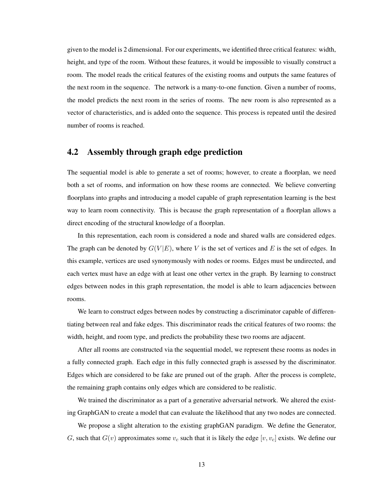given to the model is 2 dimensional. For our experiments, we identified three critical features: width, height, and type of the room. Without these features, it would be impossible to visually construct a room. The model reads the critical features of the existing rooms and outputs the same features of the next room in the sequence. The network is a many-to-one function. Given a number of rooms, the model predicts the next room in the series of rooms. The new room is also represented as a vector of characteristics, and is added onto the sequence. This process is repeated until the desired number of rooms is reached.

### <span id="page-21-0"></span>4.2 Assembly through graph edge prediction

The sequential model is able to generate a set of rooms; however, to create a floorplan, we need both a set of rooms, and information on how these rooms are connected. We believe converting floorplans into graphs and introducing a model capable of graph representation learning is the best way to learn room connectivity. This is because the graph representation of a floorplan allows a direct encoding of the structural knowledge of a floorplan.

In this representation, each room is considered a node and shared walls are considered edges. The graph can be denoted by  $G(V|E)$ , where V is the set of vertices and E is the set of edges. In this example, vertices are used synonymously with nodes or rooms. Edges must be undirected, and each vertex must have an edge with at least one other vertex in the graph. By learning to construct edges between nodes in this graph representation, the model is able to learn adjacencies between rooms.

We learn to construct edges between nodes by constructing a discriminator capable of differentiating between real and fake edges. This discriminator reads the critical features of two rooms: the width, height, and room type, and predicts the probability these two rooms are adjacent.

After all rooms are constructed via the sequential model, we represent these rooms as nodes in a fully connected graph. Each edge in this fully connected graph is assessed by the discriminator. Edges which are considered to be fake are pruned out of the graph. After the process is complete, the remaining graph contains only edges which are considered to be realistic.

We trained the discriminator as a part of a generative adversarial network. We altered the existing GraphGAN to create a model that can evaluate the likelihood that any two nodes are connected.

We propose a slight alteration to the existing graphGAN paradigm. We define the Generator, G, such that  $G(v)$  approximates some  $v_c$  such that it is likely the edge  $[v, v_c]$  exists. We define our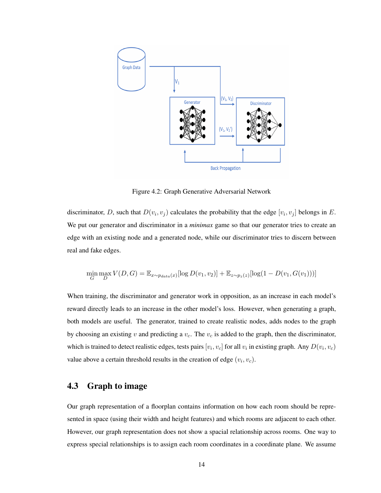

<span id="page-22-1"></span>Figure 4.2: Graph Generative Adversarial Network

discriminator, D, such that  $D(v_i, v_j)$  calculates the probability that the edge  $[v_i, v_j]$  belongs in E. We put our generator and discriminator in a *minimax* game so that our generator tries to create an edge with an existing node and a generated node, while our discriminator tries to discern between real and fake edges.

$$
\min_{G} \max_{D} V(D, G) = \mathbb{E}_{x \sim p_{data}(x)} [\log D(v_1, v_2)] + \mathbb{E}_{z \sim p_z(z)} [\log(1 - D(v_1, G(v_1)))]
$$

When training, the discriminator and generator work in opposition, as an increase in each model's reward directly leads to an increase in the other model's loss. However, when generating a graph, both models are useful. The generator, trained to create realistic nodes, adds nodes to the graph by choosing an existing v and predicting a  $v_c$ . The  $v_c$  is added to the graph, then the discriminator, which is trained to detect realistic edges, tests pairs  $[v_i, v_c]$  for all  $v_i$  in existing graph. Any  $D(v_i, v_c)$ value above a certain threshold results in the creation of edge  $(v_i, v_c)$ .

### <span id="page-22-0"></span>4.3 Graph to image

Our graph representation of a floorplan contains information on how each room should be represented in space (using their width and height features) and which rooms are adjacent to each other. However, our graph representation does not show a spacial relationship across rooms. One way to express special relationships is to assign each room coordinates in a coordinate plane. We assume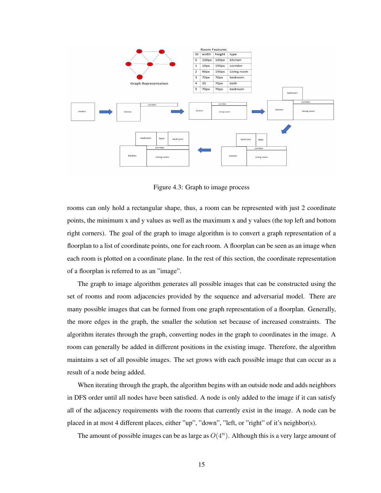

<span id="page-23-0"></span>Figure 4.3: Graph to image process

rooms can only hold a rectangular shape, thus, a room can be represented with just 2 coordinate points, the minimum x and y values as well as the maximum x and y values (the top left and bottom right corners). The goal of the graph to image algorithm is to convert a graph representation of a floorplan to a list of coordinate points, one for each room. A floorplan can be seen as an image when each room is plotted on a coordinate plane. In the rest of this section, the coordinate representation of a floorplan is referred to as an "image".

The graph to image algorithm generates all possible images that can be constructed using the set of rooms and room adjacencies provided by the sequence and adversarial model. There are many possible images that can be formed from one graph representation of a floorplan. Generally, the more edges in the graph, the smaller the solution set because of increased constraints. The algorithm iterates through the graph, converting nodes in the graph to coordinates in the image. A room can generally be added in different positions in the existing image. Therefore, the algorithm maintains a set of all possible images. The set grows with each possible image that can occur as a result of a node being added.

When iterating through the graph, the algorithm begins with an outside node and adds neighbors in DFS order until all nodes have been satisfied. A node is only added to the image if it can satisfy all of the adjacency requirements with the rooms that currently exist in the image. A node can be placed in at most 4 different places, either "up", "down", "left, or "right" of it's neighbor(s).

The amount of possible images can be as large as  $O(4^n)$ . Although this is a very large amount of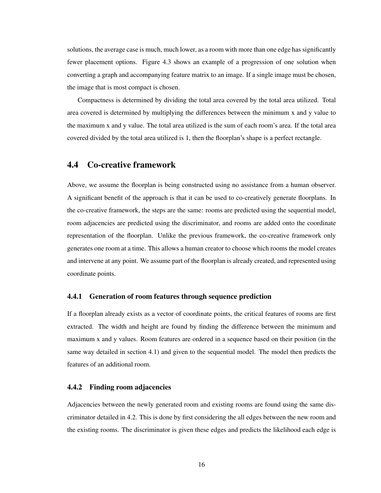solutions, the average case is much, much lower, as a room with more than one edge has significantly fewer placement options. Figure [4.3](#page-23-0) shows an example of a progression of one solution when converting a graph and accompanying feature matrix to an image. If a single image must be chosen, the image that is most compact is chosen.

Compactness is determined by dividing the total area covered by the total area utilized. Total area covered is determined by multiplying the differences between the minimum x and y value to the maximum x and y value. The total area utilized is the sum of each room's area. If the total area covered divided by the total area utilized is 1, then the floorplan's shape is a perfect rectangle.

#### <span id="page-24-0"></span>4.4 Co-creative framework

Above, we assume the floorplan is being constructed using no assistance from a human observer. A significant benefit of the approach is that it can be used to co-creatively generate floorplans. In the co-creative framework, the steps are the same: rooms are predicted using the sequential model, room adjacencies are predicted using the discriminator, and rooms are added onto the coordinate representation of the floorplan. Unlike the previous framework, the co-creative framework only generates one room at a time. This allows a human creator to choose which rooms the model creates and intervene at any point. We assume part of the floorplan is already created, and represented using coordinate points.

#### <span id="page-24-1"></span>4.4.1 Generation of room features through sequence prediction

If a floorplan already exists as a vector of coordinate points, the critical features of rooms are first extracted. The width and height are found by finding the difference between the minimum and maximum x and y values. Room features are ordered in a sequence based on their position (in the same way detailed in section [4.1\)](#page-20-0) and given to the sequential model. The model then predicts the features of an additional room.

#### <span id="page-24-2"></span>4.4.2 Finding room adjacencies

Adjacencies between the newly generated room and existing rooms are found using the same discriminator detailed in [4.2.](#page-21-0) This is done by first considering the all edges between the new room and the existing rooms. The discriminator is given these edges and predicts the likelihood each edge is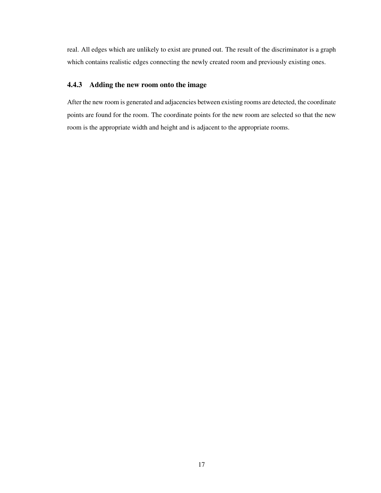real. All edges which are unlikely to exist are pruned out. The result of the discriminator is a graph which contains realistic edges connecting the newly created room and previously existing ones.

#### <span id="page-25-0"></span>4.4.3 Adding the new room onto the image

After the new room is generated and adjacencies between existing rooms are detected, the coordinate points are found for the room. The coordinate points for the new room are selected so that the new room is the appropriate width and height and is adjacent to the appropriate rooms.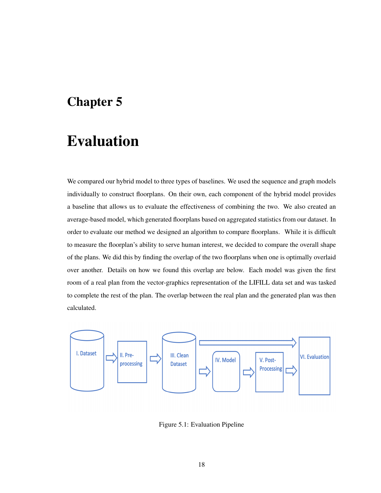# <span id="page-26-0"></span>Chapter 5

# Evaluation

We compared our hybrid model to three types of baselines. We used the sequence and graph models individually to construct floorplans. On their own, each component of the hybrid model provides a baseline that allows us to evaluate the effectiveness of combining the two. We also created an average-based model, which generated floorplans based on aggregated statistics from our dataset. In order to evaluate our method we designed an algorithm to compare floorplans. While it is difficult to measure the floorplan's ability to serve human interest, we decided to compare the overall shape of the plans. We did this by finding the overlap of the two floorplans when one is optimally overlaid over another. Details on how we found this overlap are below. Each model was given the first room of a real plan from the vector-graphics representation of the LIFILL data set and was tasked to complete the rest of the plan. The overlap between the real plan and the generated plan was then calculated.



<span id="page-26-1"></span>Figure 5.1: Evaluation Pipeline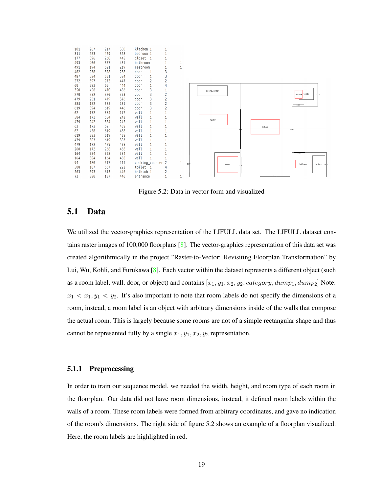

<span id="page-27-2"></span>Figure 5.2: Data in vector form and visualized

#### <span id="page-27-0"></span>5.1 Data

We utilized the vector-graphics representation of the LIFULL data set. The LIFULL dataset contains raster images of 100,000 floorplans [\[8\]](#page-36-10). The vector-graphics representation of this data set was created algorithmically in the project "Raster-to-Vector: Revisiting Floorplan Transformation" by Lui, Wu, Kohli, and Furukawa  $[8]$ . Each vector within the dataset represents a different object (such as a room label, wall, door, or object) and contains  $[x_1, y_1, x_2, y_2, category, dump_1, dump_2]$  Note:  $x_1 < x_1, y_1 < y_2$ . It's also important to note that room labels do not specify the dimensions of a room, instead, a room label is an object with arbitrary dimensions inside of the walls that compose the actual room. This is largely because some rooms are not of a simple rectangular shape and thus cannot be represented fully by a single  $x_1, y_1, x_2, y_2$  representation.

#### <span id="page-27-1"></span>5.1.1 Preprocessing

In order to train our sequence model, we needed the width, height, and room type of each room in the floorplan. Our data did not have room dimensions, instead, it defined room labels within the walls of a room. These room labels were formed from arbitrary coordinates, and gave no indication of the room's dimensions. The right side of figure [5.2](#page-27-2) shows an example of a floorplan visualized. Here, the room labels are highlighted in red.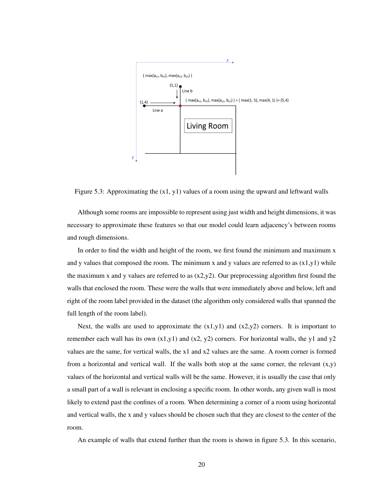

<span id="page-28-0"></span>Figure 5.3: Approximating the  $(x1, y1)$  values of a room using the upward and leftward walls

Although some rooms are impossible to represent using just width and height dimensions, it was necessary to approximate these features so that our model could learn adjacency's between rooms and rough dimensions.

In order to find the width and height of the room, we first found the minimum and maximum x and y values that composed the room. The minimum x and y values are referred to as  $(x1,y1)$  while the maximum x and y values are referred to as  $(x2,y2)$ . Our preprocessing algorithm first found the walls that enclosed the room. These were the walls that were immediately above and below, left and right of the room label provided in the dataset (the algorithm only considered walls that spanned the full length of the room label).

Next, the walls are used to approximate the  $(x1,y1)$  and  $(x2,y2)$  corners. It is important to remember each wall has its own  $(x1,y1)$  and  $(x2, y2)$  corners. For horizontal walls, the y1 and y2 values are the same, for vertical walls, the x1 and x2 values are the same. A room corner is formed from a horizontal and vertical wall. If the walls both stop at the same corner, the relevant  $(x,y)$ values of the horizontal and vertical walls will be the same. However, it is usually the case that only a small part of a wall is relevant in enclosing a specific room. In other words, any given wall is most likely to extend past the confines of a room. When determining a corner of a room using horizontal and vertical walls, the x and y values should be chosen such that they are closest to the center of the room.

An example of walls that extend further than the room is shown in figure [5.3.](#page-28-0) In this scenario,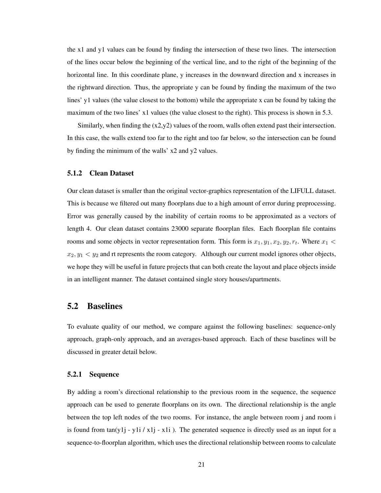the x1 and y1 values can be found by finding the intersection of these two lines. The intersection of the lines occur below the beginning of the vertical line, and to the right of the beginning of the horizontal line. In this coordinate plane, y increases in the downward direction and x increases in the rightward direction. Thus, the appropriate y can be found by finding the maximum of the two lines' y1 values (the value closest to the bottom) while the appropriate x can be found by taking the maximum of the two lines' x1 values (the value closest to the right). This process is shown in [5.3.](#page-28-0)

Similarly, when finding the  $(x2,y2)$  values of the room, walls often extend past their intersection. In this case, the walls extend too far to the right and too far below, so the intersection can be found by finding the minimum of the walls' x2 and y2 values.

#### <span id="page-29-0"></span>5.1.2 Clean Dataset

Our clean dataset is smaller than the original vector-graphics representation of the LIFULL dataset. This is because we filtered out many floorplans due to a high amount of error during preprocessing. Error was generally caused by the inability of certain rooms to be approximated as a vectors of length 4. Our clean dataset contains 23000 separate floorplan files. Each floorplan file contains rooms and some objects in vector representation form. This form is  $x_1, y_1, x_2, y_2, r_t$ . Where  $x_1$  <  $x_2, y_1 < y_2$  and rt represents the room category. Although our current model ignores other objects, we hope they will be useful in future projects that can both create the layout and place objects inside in an intelligent manner. The dataset contained single story houses/apartments.

#### <span id="page-29-1"></span>5.2 Baselines

To evaluate quality of our method, we compare against the following baselines: sequence-only approach, graph-only approach, and an averages-based approach. Each of these baselines will be discussed in greater detail below.

#### <span id="page-29-2"></span>5.2.1 Sequence

By adding a room's directional relationship to the previous room in the sequence, the sequence approach can be used to generate floorplans on its own. The directional relationship is the angle between the top left nodes of the two rooms. For instance, the angle between room j and room i is found from  $tan(y1j - y1i / x1j - x1i)$ . The generated sequence is directly used as an input for a sequence-to-floorplan algorithm, which uses the directional relationship between rooms to calculate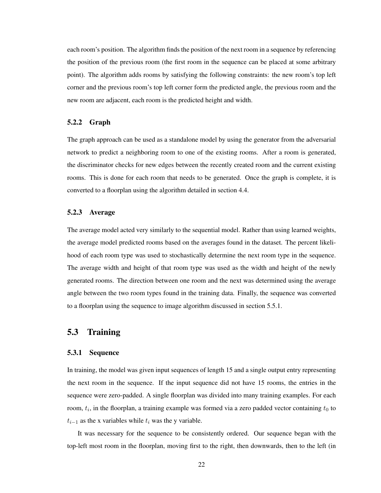each room's position. The algorithm finds the position of the next room in a sequence by referencing the position of the previous room (the first room in the sequence can be placed at some arbitrary point). The algorithm adds rooms by satisfying the following constraints: the new room's top left corner and the previous room's top left corner form the predicted angle, the previous room and the new room are adjacent, each room is the predicted height and width.

#### <span id="page-30-0"></span>5.2.2 Graph

The graph approach can be used as a standalone model by using the generator from the adversarial network to predict a neighboring room to one of the existing rooms. After a room is generated, the discriminator checks for new edges between the recently created room and the current existing rooms. This is done for each room that needs to be generated. Once the graph is complete, it is converted to a floorplan using the algorithm detailed in section 4.4.

#### <span id="page-30-1"></span>5.2.3 Average

The average model acted very similarly to the sequential model. Rather than using learned weights, the average model predicted rooms based on the averages found in the dataset. The percent likelihood of each room type was used to stochastically determine the next room type in the sequence. The average width and height of that room type was used as the width and height of the newly generated rooms. The direction between one room and the next was determined using the average angle between the two room types found in the training data. Finally, the sequence was converted to a floorplan using the sequence to image algorithm discussed in section 5.5.1.

#### <span id="page-30-2"></span>5.3 Training

#### <span id="page-30-3"></span>5.3.1 Sequence

In training, the model was given input sequences of length 15 and a single output entry representing the next room in the sequence. If the input sequence did not have 15 rooms, the entries in the sequence were zero-padded. A single floorplan was divided into many training examples. For each room,  $t_i$ , in the floorplan, a training example was formed via a zero padded vector containing  $t_0$  to  $t_{i-1}$  as the x variables while  $t_i$  was the y variable.

It was necessary for the sequence to be consistently ordered. Our sequence began with the top-left most room in the floorplan, moving first to the right, then downwards, then to the left (in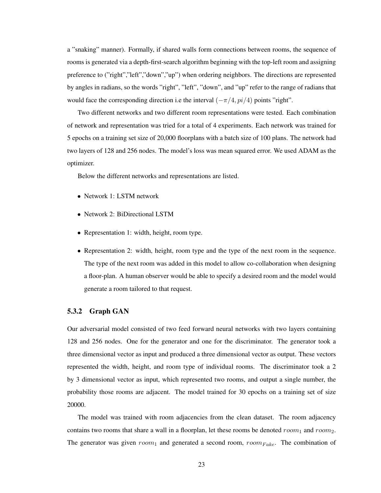a "snaking" manner). Formally, if shared walls form connections between rooms, the sequence of rooms is generated via a depth-first-search algorithm beginning with the top-left room and assigning preference to ("right","left","down","up") when ordering neighbors. The directions are represented by angles in radians, so the words "right", "left", "down", and "up" refer to the range of radians that would face the corresponding direction i.e the interval  $(-\pi/4, pi/4)$  points "right".

Two different networks and two different room representations were tested. Each combination of network and representation was tried for a total of 4 experiments. Each network was trained for 5 epochs on a training set size of 20,000 floorplans with a batch size of 100 plans. The network had two layers of 128 and 256 nodes. The model's loss was mean squared error. We used ADAM as the optimizer.

Below the different networks and representations are listed.

- Network 1: LSTM network
- Network 2: BiDirectional LSTM
- Representation 1: width, height, room type.
- Representation 2: width, height, room type and the type of the next room in the sequence. The type of the next room was added in this model to allow co-collaboration when designing a floor-plan. A human observer would be able to specify a desired room and the model would generate a room tailored to that request.

#### <span id="page-31-0"></span>5.3.2 Graph GAN

Our adversarial model consisted of two feed forward neural networks with two layers containing 128 and 256 nodes. One for the generator and one for the discriminator. The generator took a three dimensional vector as input and produced a three dimensional vector as output. These vectors represented the width, height, and room type of individual rooms. The discriminator took a 2 by 3 dimensional vector as input, which represented two rooms, and output a single number, the probability those rooms are adjacent. The model trained for 30 epochs on a training set of size 20000.

The model was trained with room adjacencies from the clean dataset. The room adjacency contains two rooms that share a wall in a floorplan, let these rooms be denoted  $room_1$  and  $room_2$ . The generator was given  $room_1$  and generated a second room,  $room_{Fake}$ . The combination of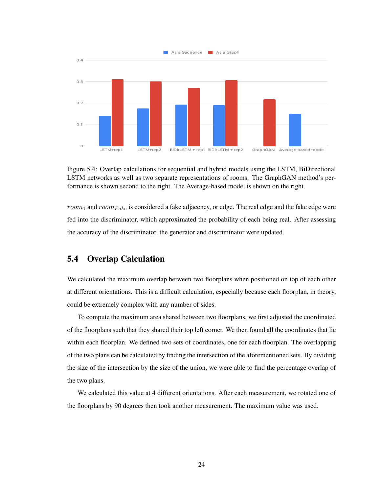

<span id="page-32-1"></span>Figure 5.4: Overlap calculations for sequential and hybrid models using the LSTM, BiDirectional LSTM networks as well as two separate representations of rooms. The GraphGAN method's performance is shown second to the right. The Average-based model is shown on the right

 $room_1$  and  $room_{Fake}$  is considered a fake adjacency, or edge. The real edge and the fake edge were fed into the discriminator, which approximated the probability of each being real. After assessing the accuracy of the discriminator, the generator and discriminator were updated.

### <span id="page-32-0"></span>5.4 Overlap Calculation

We calculated the maximum overlap between two floorplans when positioned on top of each other at different orientations. This is a difficult calculation, especially because each floorplan, in theory, could be extremely complex with any number of sides.

To compute the maximum area shared between two floorplans, we first adjusted the coordinated of the floorplans such that they shared their top left corner. We then found all the coordinates that lie within each floorplan. We defined two sets of coordinates, one for each floorplan. The overlapping of the two plans can be calculated by finding the intersection of the aforementioned sets. By dividing the size of the intersection by the size of the union, we were able to find the percentage overlap of the two plans.

We calculated this value at 4 different orientations. After each measurement, we rotated one of the floorplans by 90 degrees then took another measurement. The maximum value was used.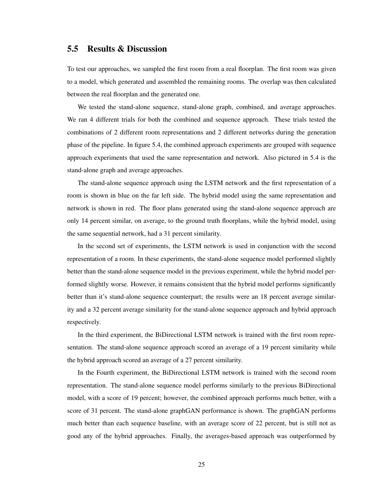#### <span id="page-33-0"></span>5.5 Results & Discussion

To test our approaches, we sampled the first room from a real floorplan. The first room was given to a model, which generated and assembled the remaining rooms. The overlap was then calculated between the real floorplan and the generated one.

We tested the stand-alone sequence, stand-alone graph, combined, and average approaches. We ran 4 different trials for both the combined and sequence approach. These trials tested the combinations of 2 different room representations and 2 different networks during the generation phase of the pipeline. In figure [5.4,](#page-32-1) the combined approach experiments are grouped with sequence approach experiments that used the same representation and network. Also pictured in [5.4](#page-32-1) is the stand-alone graph and average approaches.

The stand-alone sequence approach using the LSTM network and the first representation of a room is shown in blue on the far left side. The hybrid model using the same representation and network is shown in red. The floor plans generated using the stand-alone sequence approach are only 14 percent similar, on average, to the ground truth floorplans, while the hybrid model, using the same sequential network, had a 31 percent similarity.

In the second set of experiments, the LSTM network is used in conjunction with the second representation of a room. In these experiments, the stand-alone sequence model performed slightly better than the stand-alone sequence model in the previous experiment, while the hybrid model performed slightly worse. However, it remains consistent that the hybrid model performs significantly better than it's stand-alone sequence counterpart; the results were an 18 percent average similarity and a 32 percent average similarity for the stand-alone sequence approach and hybrid approach respectively.

In the third experiment, the BiDirectional LSTM network is trained with the first room representation. The stand-alone sequence approach scored an average of a 19 percent similarity while the hybrid approach scored an average of a 27 percent similarity.

In the Fourth experiment, the BiDirectional LSTM network is trained with the second room representation. The stand-alone sequence model performs similarly to the previous BiDirectional model, with a score of 19 percent; however, the combined approach performs much better, with a score of 31 percent. The stand-alone graphGAN performance is shown. The graphGAN performs much better than each sequence baseline, with an average score of 22 percent, but is still not as good any of the hybrid approaches. Finally, the averages-based approach was outperformed by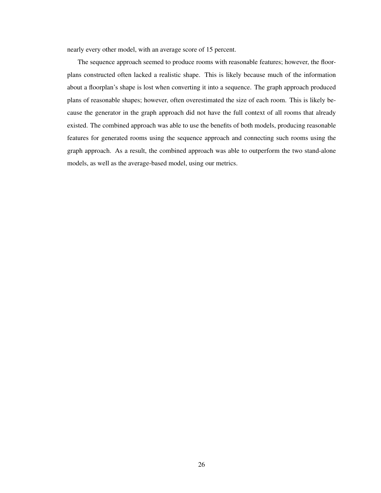nearly every other model, with an average score of 15 percent.

The sequence approach seemed to produce rooms with reasonable features; however, the floorplans constructed often lacked a realistic shape. This is likely because much of the information about a floorplan's shape is lost when converting it into a sequence. The graph approach produced plans of reasonable shapes; however, often overestimated the size of each room. This is likely because the generator in the graph approach did not have the full context of all rooms that already existed. The combined approach was able to use the benefits of both models, producing reasonable features for generated rooms using the sequence approach and connecting such rooms using the graph approach. As a result, the combined approach was able to outperform the two stand-alone models, as well as the average-based model, using our metrics.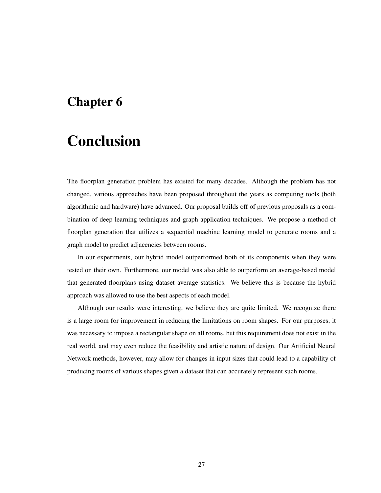# <span id="page-35-0"></span>Chapter 6

# Conclusion

The floorplan generation problem has existed for many decades. Although the problem has not changed, various approaches have been proposed throughout the years as computing tools (both algorithmic and hardware) have advanced. Our proposal builds off of previous proposals as a combination of deep learning techniques and graph application techniques. We propose a method of floorplan generation that utilizes a sequential machine learning model to generate rooms and a graph model to predict adjacencies between rooms.

In our experiments, our hybrid model outperformed both of its components when they were tested on their own. Furthermore, our model was also able to outperform an average-based model that generated floorplans using dataset average statistics. We believe this is because the hybrid approach was allowed to use the best aspects of each model.

Although our results were interesting, we believe they are quite limited. We recognize there is a large room for improvement in reducing the limitations on room shapes. For our purposes, it was necessary to impose a rectangular shape on all rooms, but this requirement does not exist in the real world, and may even reduce the feasibility and artistic nature of design. Our Artificial Neural Network methods, however, may allow for changes in input sizes that could lead to a capability of producing rooms of various shapes given a dataset that can accurately represent such rooms.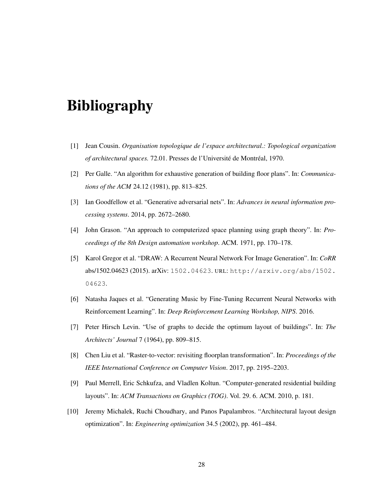# <span id="page-36-0"></span>Bibliography

- <span id="page-36-3"></span>[1] Jean Cousin. *Organisation topologique de l'espace architectural.: Topological organization of architectural spaces.* 72.01. Presses de l'Université de Montréal, 1970.
- <span id="page-36-5"></span>[2] Per Galle. "An algorithm for exhaustive generation of building floor plans". In: *Communications of the ACM* 24.12 (1981), pp. 813–825.
- <span id="page-36-9"></span>[3] Ian Goodfellow et al. "Generative adversarial nets". In: *Advances in neural information processing systems*. 2014, pp. 2672–2680.
- <span id="page-36-4"></span>[4] John Grason. "An approach to computerized space planning using graph theory". In: *Proceedings of the 8th Design automation workshop*. ACM. 1971, pp. 170–178.
- <span id="page-36-8"></span>[5] Karol Gregor et al. "DRAW: A Recurrent Neural Network For Image Generation". In: *CoRR* abs/1502.04623 (2015). arXiv: [1502.04623](http://arxiv.org/abs/1502.04623). URL: [http://arxiv.org/abs/1502.](http://arxiv.org/abs/1502.04623) [04623](http://arxiv.org/abs/1502.04623).
- <span id="page-36-7"></span>[6] Natasha Jaques et al. "Generating Music by Fine-Tuning Recurrent Neural Networks with Reinforcement Learning". In: *Deep Reinforcement Learning Workshop, NIPS*. 2016.
- <span id="page-36-1"></span>[7] Peter Hirsch Levin. "Use of graphs to decide the optimum layout of buildings". In: *The Architects' Journal* 7 (1964), pp. 809–815.
- <span id="page-36-10"></span>[8] Chen Liu et al. "Raster-to-vector: revisiting floorplan transformation". In: *Proceedings of the IEEE International Conference on Computer Vision*. 2017, pp. 2195–2203.
- <span id="page-36-6"></span>[9] Paul Merrell, Eric Schkufza, and Vladlen Koltun. "Computer-generated residential building layouts". In: *ACM Transactions on Graphics (TOG)*. Vol. 29. 6. ACM. 2010, p. 181.
- <span id="page-36-2"></span>[10] Jeremy Michalek, Ruchi Choudhary, and Panos Papalambros. "Architectural layout design optimization". In: *Engineering optimization* 34.5 (2002), pp. 461–484.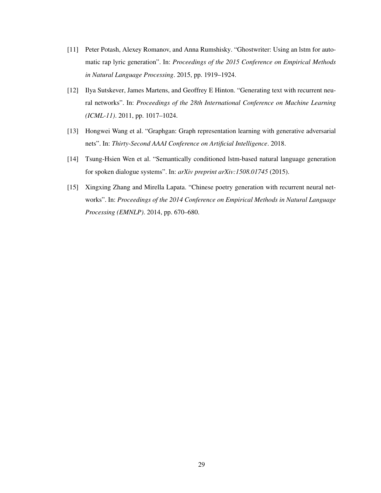- <span id="page-37-3"></span>[11] Peter Potash, Alexey Romanov, and Anna Rumshisky. "Ghostwriter: Using an lstm for automatic rap lyric generation". In: *Proceedings of the 2015 Conference on Empirical Methods in Natural Language Processing*. 2015, pp. 1919–1924.
- <span id="page-37-0"></span>[12] Ilya Sutskever, James Martens, and Geoffrey E Hinton. "Generating text with recurrent neural networks". In: *Proceedings of the 28th International Conference on Machine Learning (ICML-11)*. 2011, pp. 1017–1024.
- <span id="page-37-4"></span>[13] Hongwei Wang et al. "Graphgan: Graph representation learning with generative adversarial nets". In: *Thirty-Second AAAI Conference on Artificial Intelligence*. 2018.
- <span id="page-37-2"></span>[14] Tsung-Hsien Wen et al. "Semantically conditioned lstm-based natural language generation for spoken dialogue systems". In: *arXiv preprint arXiv:1508.01745* (2015).
- <span id="page-37-1"></span>[15] Xingxing Zhang and Mirella Lapata. "Chinese poetry generation with recurrent neural networks". In: *Proceedings of the 2014 Conference on Empirical Methods in Natural Language Processing (EMNLP)*. 2014, pp. 670–680.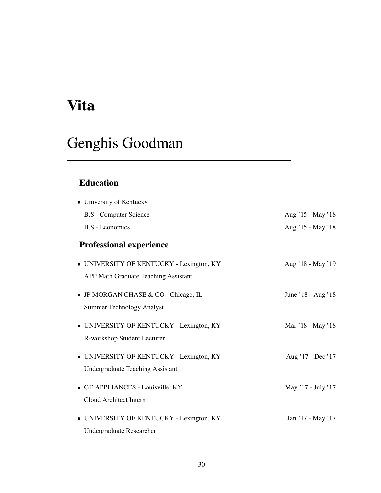# <span id="page-38-0"></span>Vita

# Genghis Goodman

## Education

| • University of Kentucky                                                            |                    |
|-------------------------------------------------------------------------------------|--------------------|
| <b>B.S</b> - Computer Science                                                       | Aug '15 - May '18  |
| <b>B.S</b> - Economics                                                              | Aug '15 - May '18  |
| <b>Professional experience</b>                                                      |                    |
| • UNIVERSITY OF KENTUCKY - Lexington, KY                                            | Aug '18 - May '19  |
| <b>APP Math Graduate Teaching Assistant</b>                                         |                    |
| • JP MORGAN CHASE & CO - Chicago, IL<br><b>Summer Technology Analyst</b>            | June '18 - Aug '18 |
| • UNIVERSITY OF KENTUCKY - Lexington, KY<br>R-workshop Student Lecturer             | Mar '18 - May '18  |
| • UNIVERSITY OF KENTUCKY - Lexington, KY<br><b>Undergraduate Teaching Assistant</b> | Aug '17 - Dec '17  |
| • GE APPLIANCES - Louisville, KY<br>Cloud Architect Intern                          | May '17 - July '17 |
| • UNIVERSITY OF KENTUCKY - Lexington, KY<br>Undergraduate Researcher                | Jan '17 - May '17  |